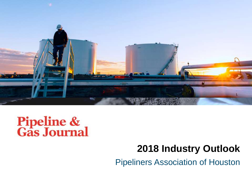

# **Pipeline &<br>Gas Journal**

# **2018 Industry Outlook**

Pipeliners Association of Houston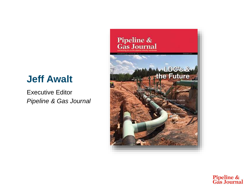# **Jeff Awalt**

Executive Editor *Pipeline & Gas Journal*



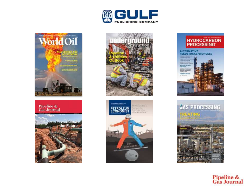



#### Pipeline &<br>Gas Journal











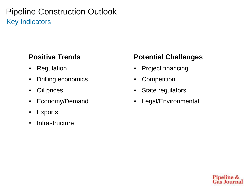# Pipeline Construction Outlook Key Indicators

#### **Positive Trends**

- Regulation
- Drilling economics
- Oil prices
- Economy/Demand
- Exports
- Infrastructure

#### **Potential Challenges**

- Project financing
- Competition
- State regulators
- Legal/Environmental

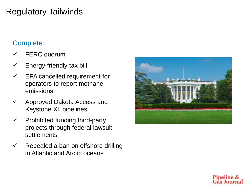# Regulatory Tailwinds

#### Complete:

- FERC quorum
- $\checkmark$  Energy-friendly tax bill
- $\checkmark$  EPA cancelled requirement for operators to report methane emissions
- $\checkmark$  Approved Dakota Access and Keystone XL pipelines
- $\checkmark$  Prohibited funding third-party projects through federal lawsuit **settlements**
- $\checkmark$  Repealed a ban on offshore drilling in Atlantic and Arctic oceans



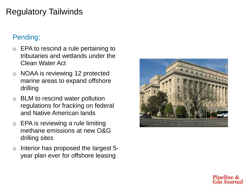# Regulatory Tailwinds

#### Pending:

- o EPA to rescind a rule pertaining to tributaries and wetlands under the Clean Water Act
- o NOAA is reviewing 12 protected marine areas to expand offshore drilling
- $\circ$  BLM to rescind water pollution regulations for fracking on federal and Native American lands
- $\circ$  EPA is reviewing a rule limiting methane emissions at new O&G drilling sites
- o Interior has proposed the largest 5 year plan ever for offshore leasing



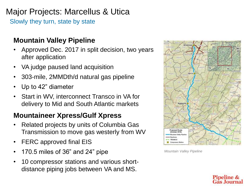# Major Projects: Marcellus & Utica

Slowly they turn, state by state

#### **Mountain Valley Pipeline**

- Approved Dec. 2017 in split decision, two years after application
- VA judge paused land acquisition
- 303-mile, 2MMDth/d natural gas pipeline
- Up to 42" diameter
- Start in WV, interconnect Transco in VA for delivery to Mid and South Atlantic markets

#### **Mountaineer Xpress/Gulf Xpress**

- Related projects by units of Columbia Gas Transmission to move gas westerly from WV
- FERC approved final EIS
- 170.5 miles of 36" and 24" pipe
- 10 compressor stations and various shortdistance piping jobs between VA and MS.



*Mountain Valley Pipeline*

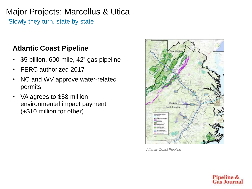# Major Projects: Marcellus & Utica

Slowly they turn, state by state

#### **Atlantic Coast Pipeline**

- \$5 billion, 600-mile, 42" gas pipeline
- FERC authorized 2017
- NC and WV approve water-related permits
- VA agrees to \$58 million environmental impact payment (+\$10 million for other)



*Atlantic Coast Pipeline*

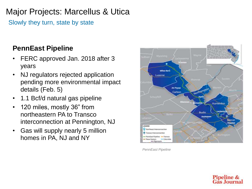# Major Projects: Marcellus & Utica

Slowly they turn, state by state

#### **PennEast Pipeline**

- FERC approved Jan. 2018 after 3 years
- NJ regulators rejected application pending more environmental impact details (Feb. 5)
- 1.1 Bcf/d natural gas pipeline
- 120 miles, mostly 36" from northeastern PA to Transco interconnection at Pennington, NJ
- Gas will supply nearly 5 million homes in PA, NJ and NY



*PennEast Pipeline*

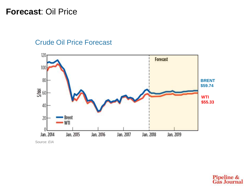#### **Forecast**: Oil Price

#### Crude Oil Price Forecast



Source: *EIA*

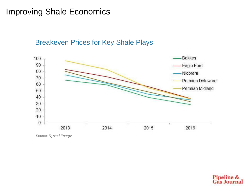# Improving Shale Economics

Breakeven Prices for Key Shale Plays



Source: *Rystad Energy*

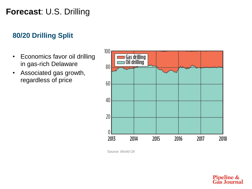# **Forecast**: U.S. Drilling

#### **80/20 Drilling Split**

- Economics favor oil drilling in gas-rich Delaware
- Associated gas growth, regardless of price



Source: *World Oil*

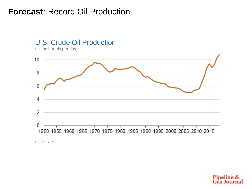# **Forecast**: Record Oil Production

#### U.S. Crude Oil Production

million barrels per day



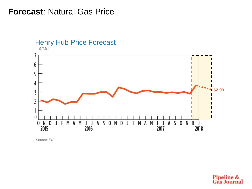#### **Forecast**: Natural Gas Price



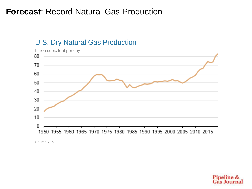# **Forecast**: Record Natural Gas Production

#### U.S. Dry Natural Gas Production



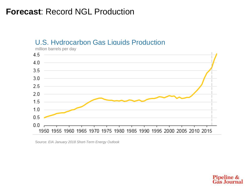# **Forecast**: Record NGL Production

#### U.S. Hydrocarbon Gas Liquids Production



million barrels per day

Source: *EIA January 2018 Short-Term Energy Outlook*

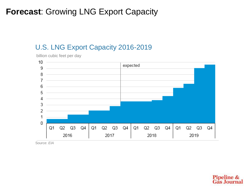# **Forecast**: Growing LNG Export Capacity

#### U.S. LNG Export Capacity 2016-2019

billion cubic feet per day



Source: *EIA*

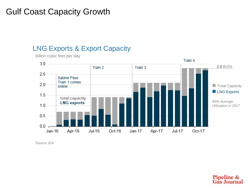# Gulf Coast Capacity Growth

#### LNG Exports & Export Capacity

billion cubic feet per day



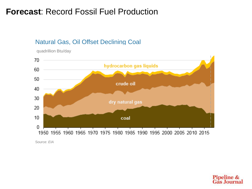# **Forecast**: Record Fossil Fuel Production

#### Natural Gas, Oil Offset Declining Coal



quadrillion Btu/day

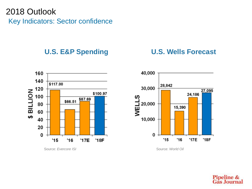# 2018 Outlook Key Indicators: Sector confidence

#### **U.S. E&P Spending U.S. Wells Forecast**



Source: *Evercore ISI* Source: *World Oil*



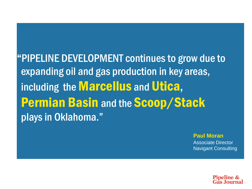"PIPELINE DEVELOPMENT continues to grow due to expanding oil and gas production in key areas, including the **Marcellus** and **Utica**, **Permian Basin and the Scoop/Stack** plays in Oklahoma."

**Paul Moran**

Associate Director Navigant Consulting

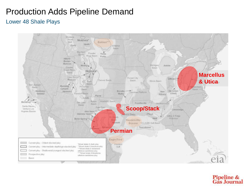# Production Adds Pipeline Demand

#### Lower 48 Shale Plays



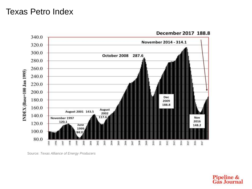# Texas Petro Index



December 2017 188.8

Source: *Texas Alliance of Energy Producers*

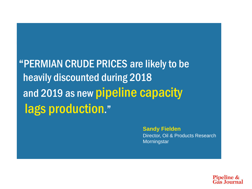"PERMIAN CRUDE PRICES are likely to be heavily discounted during 2018 and 2019 as new pipeline capacity lags production."

> **Sandy Fielden** Director, Oil & Products Research **Morningstar**

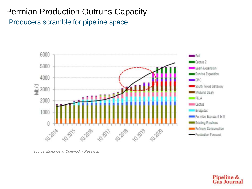# Permian Production Outruns Capacity

Producers scramble for pipeline space



Source: *Morningstar Commodity Research*

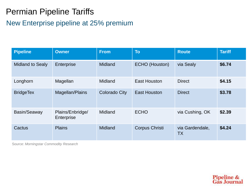# Permian Pipeline Tariffs

#### New Enterprise pipeline at 25% premium

| <b>Pipeline</b>         | <b>Owner</b>                   | <b>From</b>          | <b>To</b>             | <b>Route</b>                 | <b>Tariff</b> |
|-------------------------|--------------------------------|----------------------|-----------------------|------------------------------|---------------|
| <b>Midland to Sealy</b> | Enterprise                     | <b>Midland</b>       | ECHO (Houston)        | via Sealy                    | \$6.74        |
| Longhorn                | Magellan                       | <b>Midland</b>       | East Houston          | <b>Direct</b>                | \$4.15        |
| <b>BridgeTex</b>        | Magellan/Plains                | <b>Colorado City</b> | East Houston          | <b>Direct</b>                | \$3.78        |
| Basin/Seaway            | Plains/Enbridge/<br>Enterprise | <b>Midland</b>       | <b>ECHO</b>           | via Cushing, OK              | \$2.39        |
| Cactus                  | <b>Plains</b>                  | Midland              | <b>Corpus Christi</b> | via Gardendale,<br><b>TX</b> | \$4.24        |

Source: *Morningstar Commodity Research*

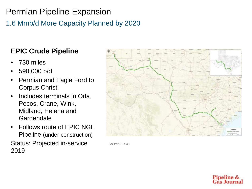1.6 Mmb/d More Capacity Planned by 2020

## **EPIC Crude Pipeline**

- 730 miles
- 590,000 b/d
- Permian and Eagle Ford to Corpus Christi
- Includes terminals in Orla, Pecos, Crane, Wink, Midland, Helena and **Gardendale**
- Follows route of EPIC NGL Pipeline (under construction)

Status: Projected in-service 2019



Source: *EPIC*

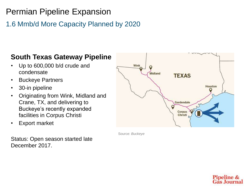#### 1.6 Mmb/d More Capacity Planned by 2020

#### **South Texas Gateway Pipeline**

- Up to 600,000 b/d crude and condensate
- Buckeye Partners
- 30-in pipeline
- Originating from Wink, Midland and Crane, TX, and delivering to Buckeye's recently expanded facilities in Corpus Christi
- Export market

Wink Midland **TEXAS** Houston Gardendale Party Corpus Christi

Source: *Buckeye*

Status: Open season started late December 2017.

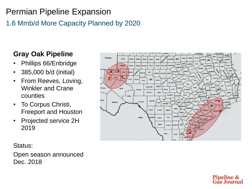# 1.6 Mmb/d More Capacity Planned by 2020

#### **Gray Oak Pipeline**

- Phillips 66/Enbridge
- 385,000 b/d (initial)
- From Reeves, Loving, Winkler and Crane counties
- To Corpus Christi, Freeport and Houston
- Projected service 2H 2019



#### Status:

Open season announced Dec. 2018

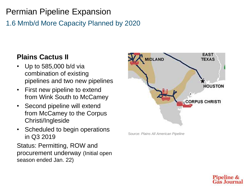1.6 Mmb/d More Capacity Planned by 2020

#### **Plains Cactus II**

- Up to 585,000 b/d via combination of existing pipelines and two new pipelines
- First new pipeline to extend from Wink South to McCamey
- Second pipeline will extend from McCamey to the Corpus Christi/Ingleside
- Scheduled to begin operations in Q3 2019

Status: Permitting, ROW and procurement underway (Initial open season ended Jan. 22)



Source: *Plains All American Pipeline*

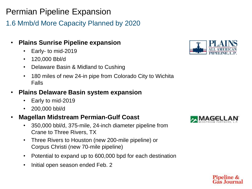1.6 Mmb/d More Capacity Planned by 2020

- **Plains Sunrise Pipeline expansion**
	- Early- to mid-2019
	- 120,000 Bbl/d
	- Delaware Basin & Midland to Cushing
	- 180 miles of new 24-in pipe from Colorado City to Wichita Falls
- **Plains Delaware Basin system expansion**
	- Early to mid-2019
	- 200,000 bbl/d
- **Magellan Midstream Permian-Gulf Coast** 
	- 350,000 bbl/d, 375-mile, 24-inch diameter pipeline from Crane to Three Rivers, TX
	- Three Rivers to Houston (new 200-mile pipeline) or Corpus Christi (new 70-mile pipeline)
	- Potential to expand up to 600,000 bpd for each destination
	- Initial open season ended Feb. 2





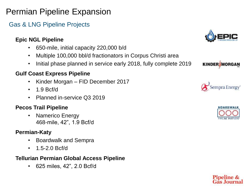#### Gas & LNG Pipeline Projects

#### **Epic NGL Pipeline**

- 650-mile, initial capacity 220,000 b/d
- Multiple 100,000 bbl/d fractionators in Corpus Christi area
- Initial phase planned in service early 2018, fully complete 2019

#### **Gulf Coast Express Pipeline**

- Kinder Morgan FID December 2017
- 1.9 Bcf/d
- Planned in-service Q3 2019

#### **Pecos Trail Pipeline**

• Namerico Energy 468-mile, 42", 1.9 Bcf/d

#### **Permian-Katy**

- Boardwalk and Sempra
- 1.5-2.0 Bcf/d

#### **Tellurian Permian Global Access Pipeline**

• 625 miles, 42", 2.0 Bcf/d